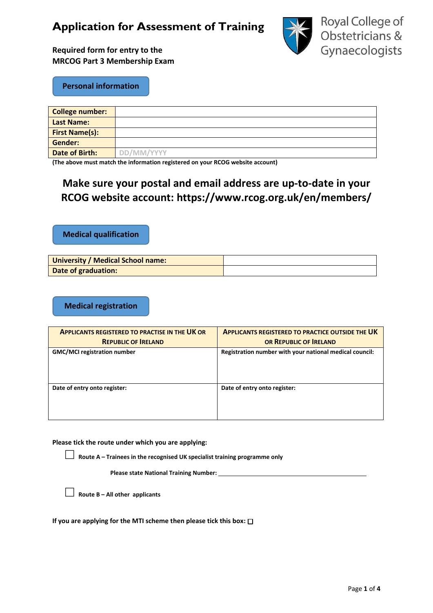# **Application for Assessment of Training**



**Required form for entry to the MRCOG Part 3 Membership Exam**

**Personal information**

| <b>College number:</b> |            |
|------------------------|------------|
| <b>Last Name:</b>      |            |
| <b>First Name(s):</b>  |            |
| Gender:                |            |
| <b>Date of Birth:</b>  | DD/MM/YYYY |

**(The above must match the information registered on your RCOG website account)**

## **Make sure your postal and email address are up-to-date in your RCOG website account: <https://www.rcog.org.uk/en/members/>**

**Medical qualification**

| University / Medical School name: |  |
|-----------------------------------|--|
| Date of graduation:               |  |

**Medical registration**

| <b>APPLICANTS REGISTERED TO PRACTISE IN THE UK OR</b> | <b>APPLICANTS REGISTERED TO PRACTICE OUTSIDE THE UK</b> |  |  |
|-------------------------------------------------------|---------------------------------------------------------|--|--|
| <b>REPUBLIC OF IRELAND</b>                            | OR REPUBLIC OF IRELAND                                  |  |  |
| <b>GMC/MCI</b> registration number                    | Registration number with your national medical council: |  |  |
| Date of entry onto register:                          | Date of entry onto register:                            |  |  |

**Please tick the route under which you are applying:**

**□ Route <sup>A</sup>– Trainees in the recognised UK specialist training programme only**

**Please state National Training Number:** 

**□ Route B – All other applicants**

**If you are applying for the MTI scheme then please tick this box:**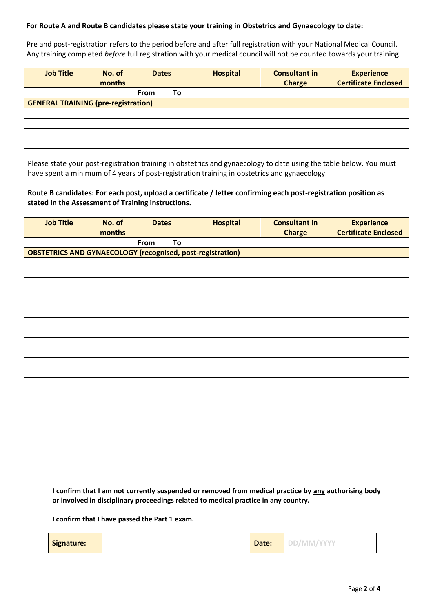### **For Route A and Route B candidates please state your training in Obstetrics and Gynaecology to date:**

Pre and post-registration refers to the period before and after full registration with your National Medical Council. Any training completed *before* full registration with your medical council will not be counted towards your training.

| <b>Job Title</b>                           | No. of<br>months | <b>Dates</b> |    | <b>Hospital</b> | <b>Consultant in</b><br><b>Charge</b> | <b>Experience</b><br><b>Certificate Enclosed</b> |
|--------------------------------------------|------------------|--------------|----|-----------------|---------------------------------------|--------------------------------------------------|
|                                            |                  | <b>From</b>  | To |                 |                                       |                                                  |
| <b>GENERAL TRAINING (pre-registration)</b> |                  |              |    |                 |                                       |                                                  |
|                                            |                  |              |    |                 |                                       |                                                  |
|                                            |                  |              |    |                 |                                       |                                                  |
|                                            |                  |              |    |                 |                                       |                                                  |
|                                            |                  |              |    |                 |                                       |                                                  |

Please state your post-registration training in obstetrics and gynaecology to date using the table below. You must have spent a minimum of 4 years of post-registration training in obstetrics and gynaecology.

### **Route B candidates: For each post, upload a certificate / letter confirming each post-registration position as stated in the Assessment of Training instructions.**

| <b>Job Title</b>                                                  | No. of | <b>Dates</b> |    | <b>Hospital</b> | <b>Consultant in</b> | <b>Experience</b>           |  |
|-------------------------------------------------------------------|--------|--------------|----|-----------------|----------------------|-----------------------------|--|
|                                                                   | months |              |    |                 | <b>Charge</b>        | <b>Certificate Enclosed</b> |  |
|                                                                   |        | From         | To |                 |                      |                             |  |
| <b>OBSTETRICS AND GYNAECOLOGY (recognised, post-registration)</b> |        |              |    |                 |                      |                             |  |
|                                                                   |        |              |    |                 |                      |                             |  |
|                                                                   |        |              |    |                 |                      |                             |  |
|                                                                   |        |              |    |                 |                      |                             |  |
|                                                                   |        |              |    |                 |                      |                             |  |
|                                                                   |        |              |    |                 |                      |                             |  |
|                                                                   |        |              |    |                 |                      |                             |  |
|                                                                   |        |              |    |                 |                      |                             |  |
|                                                                   |        |              |    |                 |                      |                             |  |
|                                                                   |        |              |    |                 |                      |                             |  |
|                                                                   |        |              |    |                 |                      |                             |  |
|                                                                   |        |              |    |                 |                      |                             |  |
|                                                                   |        |              |    |                 |                      |                             |  |
|                                                                   |        |              |    |                 |                      |                             |  |
|                                                                   |        |              |    |                 |                      |                             |  |
|                                                                   |        |              |    |                 |                      |                             |  |
|                                                                   |        |              |    |                 |                      |                             |  |
|                                                                   |        |              |    |                 |                      |                             |  |
|                                                                   |        |              |    |                 |                      |                             |  |
|                                                                   |        |              |    |                 |                      |                             |  |
|                                                                   |        |              |    |                 |                      |                             |  |
|                                                                   |        |              |    |                 |                      |                             |  |

**I confirm that I am not currently suspended or removed from medical practice by any authorising body or involved in disciplinary proceedings related to medical practice in any country.**

#### **I confirm that I have passed the Part 1 exam.**

| Signature: |  | Date: | -- |
|------------|--|-------|----|
|------------|--|-------|----|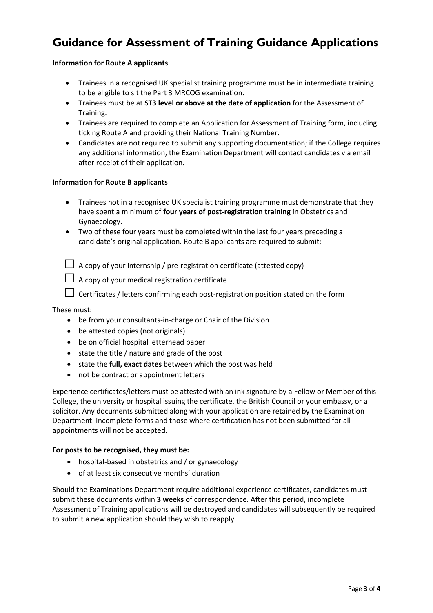# **Guidance for Assessment of Training Guidance Applications**

### **Information for Route A applicants**

- Trainees in a recognised UK specialist training programme must be in intermediate training to be eligible to sit the Part 3 MRCOG examination.
- Trainees must be at **ST3 level or above at the date of application** for the Assessment of Training.
- Trainees are required to complete an Application for Assessment of Training form, including ticking Route A and providing their National Training Number.
- Candidates are not required to submit any supporting documentation; if the College requires any additional information, the Examination Department will contact candidates via email after receipt of their application.

#### **Information for Route B applicants**

- Trainees not in a recognised UK specialist training programme must demonstrate that they have spent a minimum of **four years of post-registration training** in Obstetrics and Gynaecology.
- Two of these four years must be completed within the last four years preceding a candidate's original application. Route B applicants are required to submit:

 $\Box$  A copy of your internship / pre-registration certificate (attested copy)

**□** A copy of your medical registration certificate

**□** Certificates / letters confirming each post-registration position stated on the form

These must:

- be from your consultants-in-charge or Chair of the Division
- be attested copies (not originals)
- be on official hospital letterhead paper
- state the title / nature and grade of the post
- state the **full, exact dates** between which the post was held
- not be contract or appointment letters

Experience certificates/letters must be attested with an ink signature by a Fellow or Member of this College, the university or hospital issuing the certificate, the British Council or your embassy, or a solicitor. Any documents submitted along with your application are retained by the Examination Department. Incomplete forms and those where certification has not been submitted for all appointments will not be accepted.

#### **For posts to be recognised, they must be:**

- hospital-based in obstetrics and / or gynaecology
- of at least six consecutive months' duration

Should the Examinations Department require additional experience certificates, candidates must submit these documents within **3 weeks** of correspondence. After this period, incomplete Assessment of Training applications will be destroyed and candidates will subsequently be required to submit a new application should they wish to reapply.